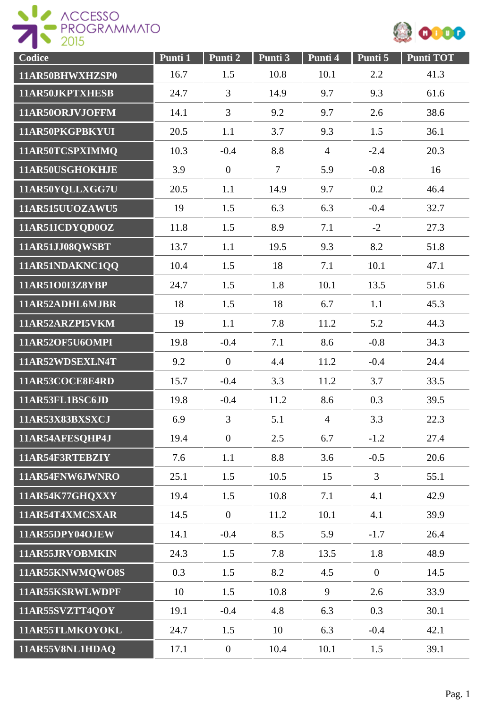



| Codice          | Punti 1 | Punti 2          | Punti 3        | Punti 4        | Punti 5        | <b>Punti TOT</b> |
|-----------------|---------|------------------|----------------|----------------|----------------|------------------|
| 11AR50BHWXHZSP0 | 16.7    | 1.5              | 10.8           | 10.1           | 2.2            | 41.3             |
| 11AR50JKPTXHESB | 24.7    | 3                | 14.9           | 9.7            | 9.3            | 61.6             |
| 11AR50ORJVJOFFM | 14.1    | $\overline{3}$   | 9.2            | 9.7            | 2.6            | 38.6             |
| 11AR50PKGPBKYUI | 20.5    | 1.1              | 3.7            | 9.3            | 1.5            | 36.1             |
| 11AR50TCSPXIMMQ | 10.3    | $-0.4$           | 8.8            | $\overline{4}$ | $-2.4$         | 20.3             |
| 11AR50USGHOKHJE | 3.9     | $\mathbf{0}$     | $\overline{7}$ | 5.9            | $-0.8$         | 16               |
| 11AR50YQLLXGG7U | 20.5    | 1.1              | 14.9           | 9.7            | 0.2            | 46.4             |
| 11AR515UUOZAWU5 | 19      | 1.5              | 6.3            | 6.3            | $-0.4$         | 32.7             |
| 11AR51ICDYQD0OZ | 11.8    | 1.5              | 8.9            | 7.1            | $-2$           | 27.3             |
| 11AR51JJ08QWSBT | 13.7    | 1.1              | 19.5           | 9.3            | 8.2            | 51.8             |
| 11AR51NDAKNC1QQ | 10.4    | 1.5              | 18             | 7.1            | 10.1           | 47.1             |
| 11AR51O0I3Z8YBP | 24.7    | 1.5              | 1.8            | 10.1           | 13.5           | 51.6             |
| 11AR52ADHL6MJBR | 18      | 1.5              | 18             | 6.7            | 1.1            | 45.3             |
| 11AR52ARZPI5VKM | 19      | 1.1              | 7.8            | 11.2           | 5.2            | 44.3             |
| 11AR52OF5U6OMPI | 19.8    | $-0.4$           | 7.1            | 8.6            | $-0.8$         | 34.3             |
| 11AR52WDSEXLN4T | 9.2     | $\mathbf{0}$     | 4.4            | 11.2           | $-0.4$         | 24.4             |
| 11AR53COCE8E4RD | 15.7    | $-0.4$           | 3.3            | 11.2           | 3.7            | 33.5             |
| 11AR53FL1BSC6JD | 19.8    | $-0.4$           | 11.2           | 8.6            | 0.3            | 39.5             |
| 11AR53X83BXSXCJ | 6.9     | 3                | 5.1            | $\overline{4}$ | 3.3            | 22.3             |
| 11AR54AFESQHP4J | 19.4    | $\mathbf{0}$     | 2.5            | 6.7            | $-1.2$         | 27.4             |
| 11AR54F3RTEBZIY | 7.6     | 1.1              | 8.8            | 3.6            | $-0.5$         | 20.6             |
| 11AR54FNW6JWNRO | 25.1    | 1.5              | 10.5           | 15             | $\overline{3}$ | 55.1             |
| 11AR54K77GHQXXY | 19.4    | 1.5              | 10.8           | 7.1            | 4.1            | 42.9             |
| 11AR54T4XMCSXAR | 14.5    | $\mathbf{0}$     | 11.2           | 10.1           | 4.1            | 39.9             |
| 11AR55DPY04OJEW | 14.1    | $-0.4$           | 8.5            | 5.9            | $-1.7$         | 26.4             |
| 11AR55JRVOBMKIN | 24.3    | 1.5              | 7.8            | 13.5           | 1.8            | 48.9             |
| 11AR55KNWMQWO8S | 0.3     | 1.5              | 8.2            | 4.5            | $\overline{0}$ | 14.5             |
| 11AR55KSRWLWDPF | 10      | 1.5              | 10.8           | 9              | 2.6            | 33.9             |
| 11AR55SVZTT4QOY | 19.1    | $-0.4$           | 4.8            | 6.3            | 0.3            | 30.1             |
| 11AR55TLMKOYOKL | 24.7    | 1.5              | 10             | 6.3            | $-0.4$         | 42.1             |
| 11AR55V8NL1HDAQ | 17.1    | $\boldsymbol{0}$ | 10.4           | 10.1           | 1.5            | 39.1             |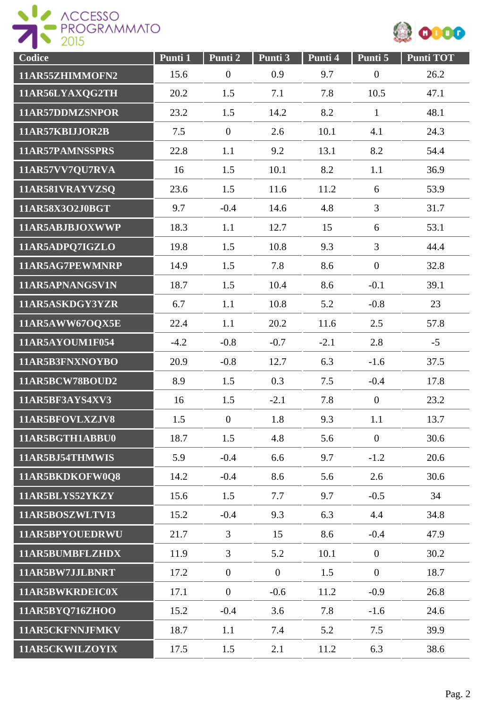



| Codice          | Punti 1 | Punti 2          | Punti 3        | Punti 4 | Punti 5          | <b>Punti TOT</b> |
|-----------------|---------|------------------|----------------|---------|------------------|------------------|
| 11AR55ZHIMMOFN2 | 15.6    | $\boldsymbol{0}$ | 0.9            | 9.7     | $\boldsymbol{0}$ | 26.2             |
| 11AR56LYAXQG2TH | 20.2    | 1.5              | 7.1            | 7.8     | 10.5             | 47.1             |
| 11AR57DDMZSNPOR | 23.2    | 1.5              | 14.2           | 8.2     | $\mathbf{1}$     | 48.1             |
| 11AR57KBIJJOR2B | 7.5     | $\mathbf{0}$     | 2.6            | 10.1    | 4.1              | 24.3             |
| 11AR57PAMNSSPRS | 22.8    | 1.1              | 9.2            | 13.1    | 8.2              | 54.4             |
| 11AR57VV7QU7RVA | 16      | 1.5              | 10.1           | 8.2     | 1.1              | 36.9             |
| 11AR581VRAYVZSQ | 23.6    | 1.5              | 11.6           | 11.2    | 6                | 53.9             |
| 11AR58X3O2J0BGT | 9.7     | $-0.4$           | 14.6           | 4.8     | $\overline{3}$   | 31.7             |
| 11AR5ABJBJOXWWP | 18.3    | 1.1              | 12.7           | 15      | 6                | 53.1             |
| 11AR5ADPQ7IGZLO | 19.8    | 1.5              | 10.8           | 9.3     | $\overline{3}$   | 44.4             |
| 11AR5AG7PEWMNRP | 14.9    | 1.5              | 7.8            | 8.6     | $\mathbf{0}$     | 32.8             |
| 11AR5APNANGSV1N | 18.7    | 1.5              | 10.4           | 8.6     | $-0.1$           | 39.1             |
| 11AR5ASKDGY3YZR | 6.7     | 1.1              | 10.8           | 5.2     | $-0.8$           | 23               |
| 11AR5AWW67OQX5E | 22.4    | 1.1              | 20.2           | 11.6    | 2.5              | 57.8             |
| 11AR5AYOUM1F054 | $-4.2$  | $-0.8$           | $-0.7$         | $-2.1$  | 2.8              | $-5$             |
| 11AR5B3FNXNOYBO | 20.9    | $-0.8$           | 12.7           | 6.3     | $-1.6$           | 37.5             |
| 11AR5BCW78BOUD2 | 8.9     | 1.5              | 0.3            | 7.5     | $-0.4$           | 17.8             |
| 11AR5BF3AYS4XV3 | 16      | 1.5              | $-2.1$         | 7.8     | $\mathbf{0}$     | 23.2             |
| 11AR5BFOVLXZJV8 | 1.5     | $\mathbf{0}$     | 1.8            | 9.3     | 1.1              | 13.7             |
| 11AR5BGTH1ABBU0 | 18.7    | 1.5              | 4.8            | 5.6     | $\mathbf{0}$     | 30.6             |
| 11AR5BJ54THMWIS | 5.9     | $-0.4$           | 6.6            | 9.7     | $-1.2$           | 20.6             |
| 11AR5BKDKOFW0Q8 | 14.2    | $-0.4$           | 8.6            | 5.6     | 2.6              | 30.6             |
| 11AR5BLYS52YKZY | 15.6    | 1.5              | 7.7            | 9.7     | $-0.5$           | 34               |
| 11AR5BOSZWLTVI3 | 15.2    | $-0.4$           | 9.3            | 6.3     | 4.4              | 34.8             |
| 11AR5BPYOUEDRWU | 21.7    | $\overline{3}$   | 15             | 8.6     | $-0.4$           | 47.9             |
| 11AR5BUMBFLZHDX | 11.9    | 3                | 5.2            | 10.1    | $\overline{0}$   | 30.2             |
| 11AR5BW7JJLBNRT | 17.2    | $\mathbf{0}$     | $\overline{0}$ | 1.5     | $\overline{0}$   | 18.7             |
| 11AR5BWKRDEIC0X | 17.1    | $\mathbf{0}$     | $-0.6$         | 11.2    | $-0.9$           | 26.8             |
| 11AR5BYQ716ZHOO | 15.2    | $-0.4$           | 3.6            | 7.8     | $-1.6$           | 24.6             |
| 11AR5CKFNNJFMKV | 18.7    | 1.1              | 7.4            | 5.2     | 7.5              | 39.9             |
| 11AR5CKWILZOYIX | 17.5    | 1.5              | 2.1            | 11.2    | 6.3              | 38.6             |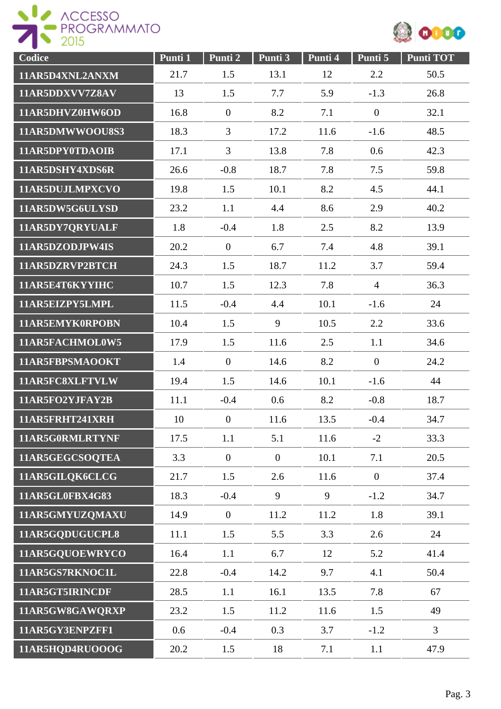



| Codice          | Punti 1 | Punti 2          | Punti 3        | Punti 4 | Punti 5        | <b>Punti TOT</b> |
|-----------------|---------|------------------|----------------|---------|----------------|------------------|
| 11AR5D4XNL2ANXM | 21.7    | 1.5              | 13.1           | 12      | 2.2            | 50.5             |
| 11AR5DDXVV7Z8AV | 13      | 1.5              | 7.7            | 5.9     | $-1.3$         | 26.8             |
| 11AR5DHVZ0HW6OD | 16.8    | $\mathbf{0}$     | 8.2            | 7.1     | $\mathbf{0}$   | 32.1             |
| 11AR5DMWWOOU8S3 | 18.3    | 3                | 17.2           | 11.6    | $-1.6$         | 48.5             |
| 11AR5DPY0TDAOIB | 17.1    | $\overline{3}$   | 13.8           | 7.8     | 0.6            | 42.3             |
| 11AR5DSHY4XDS6R | 26.6    | $-0.8$           | 18.7           | 7.8     | 7.5            | 59.8             |
| 11AR5DUJLMPXCVO | 19.8    | 1.5              | 10.1           | 8.2     | 4.5            | 44.1             |
| 11AR5DW5G6ULYSD | 23.2    | 1.1              | 4.4            | 8.6     | 2.9            | 40.2             |
| 11AR5DY7QRYUALF | 1.8     | $-0.4$           | 1.8            | 2.5     | 8.2            | 13.9             |
| 11AR5DZODJPW4IS | 20.2    | $\mathbf{0}$     | 6.7            | 7.4     | 4.8            | 39.1             |
| 11AR5DZRVP2BTCH | 24.3    | 1.5              | 18.7           | 11.2    | 3.7            | 59.4             |
| 11AR5E4T6KYYIHC | 10.7    | 1.5              | 12.3           | 7.8     | $\overline{4}$ | 36.3             |
| 11AR5EIZPY5LMPL | 11.5    | $-0.4$           | 4.4            | 10.1    | $-1.6$         | 24               |
| 11AR5EMYK0RPOBN | 10.4    | 1.5              | 9              | 10.5    | 2.2            | 33.6             |
| 11AR5FACHMOL0W5 | 17.9    | 1.5              | 11.6           | 2.5     | 1.1            | 34.6             |
| 11AR5FBPSMAOOKT | 1.4     | $\boldsymbol{0}$ | 14.6           | 8.2     | $\mathbf{0}$   | 24.2             |
| 11AR5FC8XLFTVLW | 19.4    | 1.5              | 14.6           | 10.1    | $-1.6$         | 44               |
| 11AR5FO2YJFAY2B | 11.1    | $-0.4$           | 0.6            | 8.2     | $-0.8$         | 18.7             |
| 11AR5FRHT241XRH | 10      | $\overline{0}$   | 11.6           | 13.5    | $-0.4$         | 34.7             |
| 11AR5G0RMLRTYNF | 17.5    | 1.1              | 5.1            | 11.6    | $-2$           | 33.3             |
| 11AR5GEGCSOQTEA | 3.3     | $\overline{0}$   | $\overline{0}$ | 10.1    | 7.1            | 20.5             |
| 11AR5GILQK6CLCG | 21.7    | 1.5              | 2.6            | 11.6    | $\overline{0}$ | 37.4             |
| 11AR5GL0FBX4G83 | 18.3    | $-0.4$           | 9              | 9       | $-1.2$         | 34.7             |
| 11AR5GMYUZQMAXU | 14.9    | $\mathbf{0}$     | 11.2           | 11.2    | 1.8            | 39.1             |
| 11AR5GQDUGUCPL8 | 11.1    | 1.5              | 5.5            | 3.3     | 2.6            | 24               |
| 11AR5GQUOEWRYCO | 16.4    | 1.1              | 6.7            | 12      | 5.2            | 41.4             |
| 11AR5GS7RKNOC1L | 22.8    | $-0.4$           | 14.2           | 9.7     | 4.1            | 50.4             |
| 11AR5GT5IRINCDF | 28.5    | 1.1              | 16.1           | 13.5    | 7.8            | 67               |
| 11AR5GW8GAWQRXP | 23.2    | 1.5              | 11.2           | 11.6    | 1.5            | 49               |
| 11AR5GY3ENPZFF1 | 0.6     | $-0.4$           | 0.3            | 3.7     | $-1.2$         | $\overline{3}$   |
| 11AR5HQD4RUOOOG | 20.2    | 1.5              | 18             | 7.1     | 1.1            | 47.9             |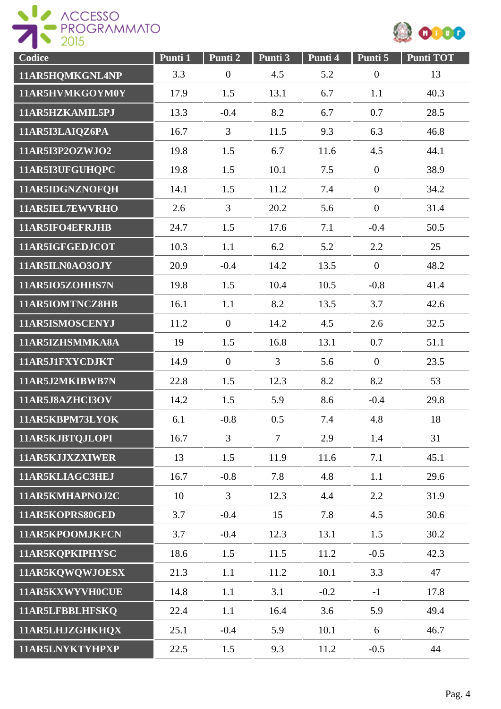



| Codice          | Punti 1 | Punti 2        | Punti 3        | Punti 4 | Punti 5          | Punti TOT |
|-----------------|---------|----------------|----------------|---------|------------------|-----------|
| 11AR5HQMKGNL4NP | 3.3     | $\overline{0}$ | 4.5            | 5.2     | $\boldsymbol{0}$ | 13        |
| 11AR5HVMKGOYM0Y | 17.9    | 1.5            | 13.1           | 6.7     | 1.1              | 40.3      |
| 11AR5HZKAMIL5PJ | 13.3    | $-0.4$         | 8.2            | 6.7     | 0.7              | 28.5      |
| 11AR5I3LAIQZ6PA | 16.7    | $\overline{3}$ | 11.5           | 9.3     | 6.3              | 46.8      |
| 11AR5I3P2OZWJO2 | 19.8    | 1.5            | 6.7            | 11.6    | 4.5              | 44.1      |
| 11AR5I3UFGUHQPC | 19.8    | 1.5            | 10.1           | 7.5     | $\boldsymbol{0}$ | 38.9      |
| 11AR5IDGNZNOFQH | 14.1    | 1.5            | 11.2           | 7.4     | $\mathbf{0}$     | 34.2      |
| 11AR5IEL7EWVRHO | 2.6     | $\overline{3}$ | 20.2           | 5.6     | $\boldsymbol{0}$ | 31.4      |
| 11AR5IFO4EFRJHB | 24.7    | 1.5            | 17.6           | 7.1     | $-0.4$           | 50.5      |
| 11AR5IGFGEDJCOT | 10.3    | 1.1            | 6.2            | 5.2     | 2.2              | 25        |
| 11AR5ILN0AO3OJY | 20.9    | $-0.4$         | 14.2           | 13.5    | $\theta$         | 48.2      |
| 11AR5IO5ZOHHS7N | 19.8    | 1.5            | 10.4           | 10.5    | $-0.8$           | 41.4      |
| 11AR5IOMTNCZ8HB | 16.1    | 1.1            | 8.2            | 13.5    | 3.7              | 42.6      |
| 11AR5ISMOSCENYJ | 11.2    | $\overline{0}$ | 14.2           | 4.5     | 2.6              | 32.5      |
| 11AR5IZHSMMKA8A | 19      | 1.5            | 16.8           | 13.1    | 0.7              | 51.1      |
| 11AR5J1FXYCDJKT | 14.9    | $\overline{0}$ | $\overline{3}$ | 5.6     | $\overline{0}$   | 23.5      |
| 11AR5J2MKIBWB7N | 22.8    | 1.5            | 12.3           | 8.2     | 8.2              | 53        |
| 11AR5J8AZHCI3OV | 14.2    | 1.5            | 5.9            | 8.6     | $-0.4$           | 29.8      |
| 11AR5KBPM73LYOK | 6.1     | $-0.8$         | 0.5            | 7.4     | 4.8              | 18        |
| 11AR5KJBTQJLOPI | 16.7    | $\overline{3}$ | $\overline{7}$ | 2.9     | 1.4              | 31        |
| 11AR5KJJXZXIWER | 13      | 1.5            | 11.9           | 11.6    | 7.1              | 45.1      |
| 11AR5KLIAGC3HEJ | 16.7    | $-0.8$         | 7.8            | 4.8     | 1.1              | 29.6      |
| 11AR5KMHAPNOJ2C | 10      | $\overline{3}$ | 12.3           | 4.4     | 2.2              | 31.9      |
| 11AR5KOPRS80GED | 3.7     | $-0.4$         | 15             | 7.8     | 4.5              | 30.6      |
| 11AR5KPOOMJKFCN | 3.7     | $-0.4$         | 12.3           | 13.1    | 1.5              | 30.2      |
| 11AR5KQPKIPHYSC | 18.6    | 1.5            | 11.5           | 11.2    | $-0.5$           | 42.3      |
| 11AR5KQWQWJOESX | 21.3    | 1.1            | 11.2           | 10.1    | 3.3              | 47        |
| 11AR5KXWYVH0CUE | 14.8    | 1.1            | 3.1            | $-0.2$  | $-1$             | 17.8      |
| 11AR5LFBBLHFSKQ | 22.4    | 1.1            | 16.4           | 3.6     | 5.9              | 49.4      |
| 11AR5LHJZGHKHQX | 25.1    | $-0.4$         | 5.9            | 10.1    | 6                | 46.7      |
| 11AR5LNYKTYHPXP | 22.5    | 1.5            | 9.3            | 11.2    | $-0.5$           | 44        |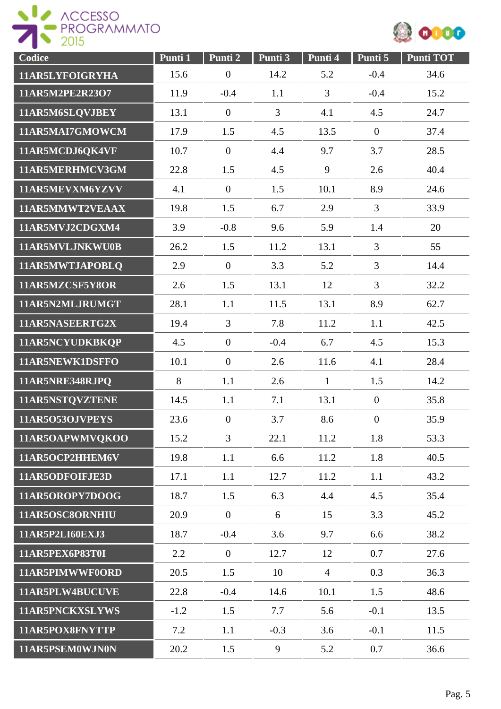



| Codice          | Punti 1 | Punti 2        | Punti 3        | Punti 4        | Punti 5          | <b>Punti TOT</b> |
|-----------------|---------|----------------|----------------|----------------|------------------|------------------|
| 11AR5LYFOIGRYHA | 15.6    | $\overline{0}$ | 14.2           | 5.2            | $-0.4$           | 34.6             |
| 11AR5M2PE2R23O7 | 11.9    | $-0.4$         | 1.1            | 3              | $-0.4$           | 15.2             |
| 11AR5M6SLQVJBEY | 13.1    | $\overline{0}$ | $\overline{3}$ | 4.1            | 4.5              | 24.7             |
| 11AR5MAI7GMOWCM | 17.9    | 1.5            | 4.5            | 13.5           | $\overline{0}$   | 37.4             |
| 11AR5MCDJ6QK4VF | 10.7    | $\overline{0}$ | 4.4            | 9.7            | 3.7              | 28.5             |
| 11AR5MERHMCV3GM | 22.8    | 1.5            | 4.5            | 9              | 2.6              | 40.4             |
| 11AR5MEVXM6YZVV | 4.1     | $\overline{0}$ | 1.5            | 10.1           | 8.9              | 24.6             |
| 11AR5MMWT2VEAAX | 19.8    | 1.5            | 6.7            | 2.9            | $\overline{3}$   | 33.9             |
| 11AR5MVJ2CDGXM4 | 3.9     | $-0.8$         | 9.6            | 5.9            | 1.4              | 20               |
| 11AR5MVLJNKWU0B | 26.2    | 1.5            | 11.2           | 13.1           | $\overline{3}$   | 55               |
| 11AR5MWTJAPOBLQ | 2.9     | $\overline{0}$ | 3.3            | 5.2            | $\overline{3}$   | 14.4             |
| 11AR5MZCSF5Y8OR | 2.6     | 1.5            | 13.1           | 12             | $\overline{3}$   | 32.2             |
| 11AR5N2MLJRUMGT | 28.1    | 1.1            | 11.5           | 13.1           | 8.9              | 62.7             |
| 11AR5NASEERTG2X | 19.4    | $\overline{3}$ | 7.8            | 11.2           | 1.1              | 42.5             |
| 11AR5NCYUDKBKQP | 4.5     | $\overline{0}$ | $-0.4$         | 6.7            | 4.5              | 15.3             |
| 11AR5NEWK1DSFFO | 10.1    | $\overline{0}$ | 2.6            | 11.6           | 4.1              | 28.4             |
| 11AR5NRE348RJPQ | 8       | 1.1            | 2.6            | $\mathbf{1}$   | 1.5              | 14.2             |
| 11AR5NSTQVZTENE | 14.5    | 1.1            | 7.1            | 13.1           | $\mathbf{0}$     | 35.8             |
| 11AR5O53OJVPEYS | 23.6    | $\overline{0}$ | 3.7            | 8.6            | $\boldsymbol{0}$ | 35.9             |
| 11AR5OAPWMVQKOO | 15.2    | $\overline{3}$ | 22.1           | 11.2           | 1.8              | 53.3             |
| 11AR5OCP2HHEM6V | 19.8    | 1.1            | 6.6            | 11.2           | 1.8              | 40.5             |
| 11AR5ODFOIFJE3D | 17.1    | 1.1            | 12.7           | 11.2           | 1.1              | 43.2             |
| 11AR5OROPY7DOOG | 18.7    | 1.5            | 6.3            | 4.4            | 4.5              | 35.4             |
| 11AR5OSC8ORNHIU | 20.9    | $\overline{0}$ | 6              | 15             | 3.3              | 45.2             |
| 11AR5P2LI60EXJ3 | 18.7    | $-0.4$         | 3.6            | 9.7            | 6.6              | 38.2             |
| 11AR5PEX6P83T0I | 2.2     | $\overline{0}$ | 12.7           | 12             | 0.7              | 27.6             |
| 11AR5PIMWWF0ORD | 20.5    | 1.5            | 10             | $\overline{4}$ | 0.3              | 36.3             |
| 11AR5PLW4BUCUVE | 22.8    | $-0.4$         | 14.6           | 10.1           | 1.5              | 48.6             |
| 11AR5PNCKXSLYWS | $-1.2$  | 1.5            | 7.7            | 5.6            | $-0.1$           | 13.5             |
| 11AR5POX8FNYTTP | 7.2     | 1.1            | $-0.3$         | 3.6            | $-0.1$           | 11.5             |
| 11AR5PSEM0WJN0N | 20.2    | 1.5            | 9              | 5.2            | 0.7              | 36.6             |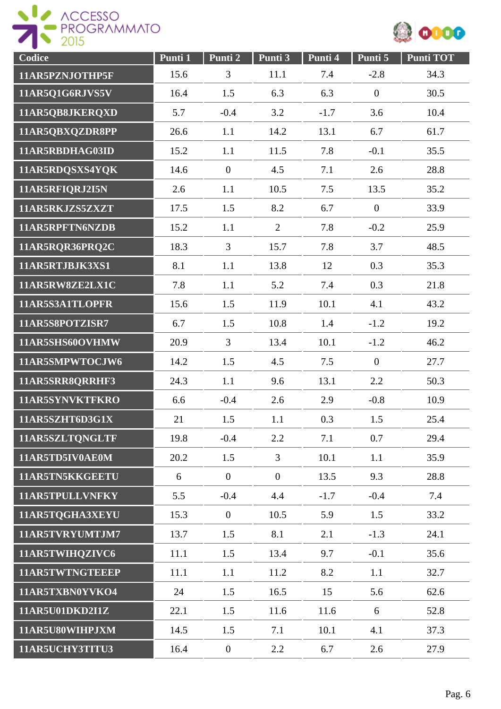



| Codice          | Punti 1 | Punti 2          | Punti 3        | Punti 4 | Punti 5        | <b>Punti TOT</b> |
|-----------------|---------|------------------|----------------|---------|----------------|------------------|
| 11AR5PZNJOTHP5F | 15.6    | 3                | 11.1           | 7.4     | $-2.8$         | 34.3             |
| 11AR5Q1G6RJVS5V | 16.4    | 1.5              | 6.3            | 6.3     | $\overline{0}$ | 30.5             |
| 11AR5QB8JKERQXD | 5.7     | $-0.4$           | 3.2            | $-1.7$  | 3.6            | 10.4             |
| 11AR5QBXQZDR8PP | 26.6    | 1.1              | 14.2           | 13.1    | 6.7            | 61.7             |
| 11AR5RBDHAG03ID | 15.2    | 1.1              | 11.5           | 7.8     | $-0.1$         | 35.5             |
| 11AR5RDQSXS4YQK | 14.6    | $\boldsymbol{0}$ | 4.5            | 7.1     | 2.6            | 28.8             |
| 11AR5RFIQRJ2I5N | 2.6     | 1.1              | 10.5           | 7.5     | 13.5           | 35.2             |
| 11AR5RKJZS5ZXZT | 17.5    | 1.5              | 8.2            | 6.7     | $\mathbf{0}$   | 33.9             |
| 11AR5RPFTN6NZDB | 15.2    | 1.1              | $\overline{2}$ | 7.8     | $-0.2$         | 25.9             |
| 11AR5RQR36PRQ2C | 18.3    | $\overline{3}$   | 15.7           | 7.8     | 3.7            | 48.5             |
| 11AR5RTJBJK3XS1 | 8.1     | 1.1              | 13.8           | 12      | 0.3            | 35.3             |
| 11AR5RW8ZE2LX1C | 7.8     | 1.1              | 5.2            | 7.4     | 0.3            | 21.8             |
| 11AR5S3A1TLOPFR | 15.6    | 1.5              | 11.9           | 10.1    | 4.1            | 43.2             |
| 11AR5S8POTZISR7 | 6.7     | 1.5              | 10.8           | 1.4     | $-1.2$         | 19.2             |
| 11AR5SHS60OVHMW | 20.9    | $\overline{3}$   | 13.4           | 10.1    | $-1.2$         | 46.2             |
| 11AR5SMPWTOCJW6 | 14.2    | 1.5              | 4.5            | 7.5     | $\mathbf{0}$   | 27.7             |
| 11AR5SRR8QRRHF3 | 24.3    | 1.1              | 9.6            | 13.1    | 2.2            | 50.3             |
| 11AR5SYNVKTFKRO | 6.6     | $-0.4$           | 2.6            | 2.9     | $-0.8$         | 10.9             |
| 11AR5SZHT6D3G1X | 21      | 1.5              | 1.1            | 0.3     | 1.5            | 25.4             |
| 11AR5SZLTQNGLTF | 19.8    | $-0.4$           | 2.2            | 7.1     | 0.7            | 29.4             |
| 11AR5TD5IV0AE0M | 20.2    | 1.5              | $\overline{3}$ | 10.1    | 1.1            | 35.9             |
| 11AR5TN5KKGEETU | 6       | $\mathbf{0}$     | $\overline{0}$ | 13.5    | 9.3            | 28.8             |
| 11AR5TPULLVNFKY | 5.5     | $-0.4$           | 4.4            | $-1.7$  | $-0.4$         | 7.4              |
| 11AR5TQGHA3XEYU | 15.3    | $\mathbf{0}$     | 10.5           | 5.9     | 1.5            | 33.2             |
| 11AR5TVRYUMTJM7 | 13.7    | 1.5              | 8.1            | 2.1     | $-1.3$         | 24.1             |
| 11AR5TWIHQZIVC6 | 11.1    | 1.5              | 13.4           | 9.7     | $-0.1$         | 35.6             |
| 11AR5TWTNGTEEEP | 11.1    | 1.1              | 11.2           | 8.2     | 1.1            | 32.7             |
| 11AR5TXBN0YVKO4 | 24      | 1.5              | 16.5           | 15      | 5.6            | 62.6             |
| 11AR5U01DKD2I1Z | 22.1    | 1.5              | 11.6           | 11.6    | 6              | 52.8             |
| 11AR5U80WIHPJXM | 14.5    | 1.5              | 7.1            | 10.1    | 4.1            | 37.3             |
| 11AR5UCHY3TITU3 | 16.4    | $\boldsymbol{0}$ | 2.2            | 6.7     | 2.6            | 27.9             |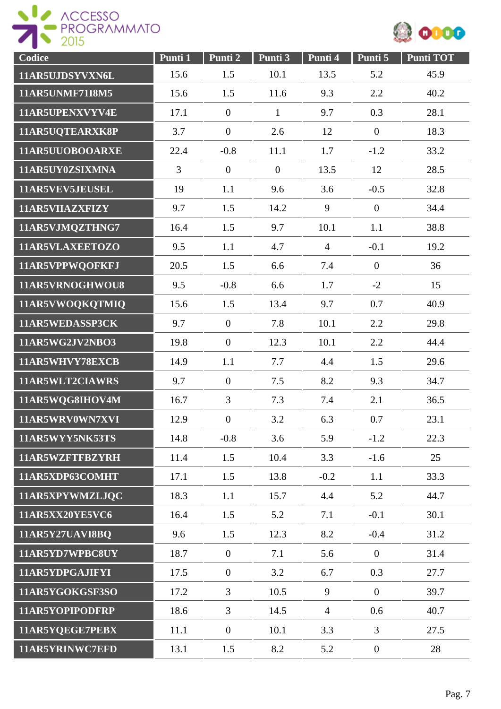



| Codice                 | Punti 1        | Punti 2          | Punti 3        | Punti 4        | Punti 5          | <b>Punti TOT</b> |
|------------------------|----------------|------------------|----------------|----------------|------------------|------------------|
| 11AR5UJDSYVXN6L        | 15.6           | 1.5              | 10.1           | 13.5           | 5.2              | 45.9             |
| <b>11AR5UNMF71I8M5</b> | 15.6           | 1.5              | 11.6           | 9.3            | 2.2              | 40.2             |
| 11AR5UPENXVYV4E        | 17.1           | $\overline{0}$   | $\mathbf{1}$   | 9.7            | 0.3              | 28.1             |
| 11AR5UQTEARXK8P        | 3.7            | $\overline{0}$   | 2.6            | 12             | $\boldsymbol{0}$ | 18.3             |
| 11AR5UUOBOOARXE        | 22.4           | $-0.8$           | 11.1           | 1.7            | $-1.2$           | 33.2             |
| 11AR5UY0ZSIXMNA        | $\overline{3}$ | $\overline{0}$   | $\overline{0}$ | 13.5           | 12               | 28.5             |
| 11AR5VEV5JEUSEL        | 19             | 1.1              | 9.6            | 3.6            | $-0.5$           | 32.8             |
| 11AR5VIIAZXFIZY        | 9.7            | 1.5              | 14.2           | 9              | $\overline{0}$   | 34.4             |
| 11AR5VJMQZTHNG7        | 16.4           | 1.5              | 9.7            | 10.1           | 1.1              | 38.8             |
| 11AR5VLAXEETOZO        | 9.5            | 1.1              | 4.7            | $\overline{4}$ | $-0.1$           | 19.2             |
| 11AR5VPPWQOFKFJ        | 20.5           | 1.5              | 6.6            | 7.4            | $\mathbf{0}$     | 36               |
| 11AR5VRNOGHWOU8        | 9.5            | $-0.8$           | 6.6            | 1.7            | $-2$             | 15               |
| 11AR5VWOQKQTMIQ        | 15.6           | 1.5              | 13.4           | 9.7            | 0.7              | 40.9             |
| 11AR5WEDASSP3CK        | 9.7            | $\overline{0}$   | 7.8            | 10.1           | 2.2              | 29.8             |
| 11AR5WG2JV2NBO3        | 19.8           | $\overline{0}$   | 12.3           | 10.1           | 2.2              | 44.4             |
| 11AR5WHVY78EXCB        | 14.9           | 1.1              | 7.7            | 4.4            | 1.5              | 29.6             |
| 11AR5WLT2CIAWRS        | 9.7            | $\boldsymbol{0}$ | 7.5            | 8.2            | 9.3              | 34.7             |
| 11AR5WQG8IHOV4M        | 16.7           | $\overline{3}$   | 7.3            | 7.4            | 2.1              | 36.5             |
| 11AR5WRV0WN7XVI        | 12.9           | $\overline{0}$   | 3.2            | 6.3            | 0.7              | 23.1             |
| 11AR5WYY5NK53TS        | 14.8           | $-0.8$           | 3.6            | 5.9            | $-1.2$           | 22.3             |
| 11AR5WZFTFBZYRH        | 11.4           | 1.5              | 10.4           | 3.3            | $-1.6$           | 25               |
| 11AR5XDP63COMHT        | 17.1           | 1.5              | 13.8           | $-0.2$         | 1.1              | 33.3             |
| 11AR5XPYWMZLJQC        | 18.3           | 1.1              | 15.7           | 4.4            | 5.2              | 44.7             |
| 11AR5XX20YE5VC6        | 16.4           | 1.5              | 5.2            | 7.1            | $-0.1$           | 30.1             |
| <b>11AR5Y27UAVI8BO</b> | 9.6            | 1.5              | 12.3           | 8.2            | $-0.4$           | 31.2             |
| 11AR5YD7WPBC8UY        | 18.7           | $\overline{0}$   | 7.1            | 5.6            | $\overline{0}$   | 31.4             |
| 11AR5YDPGAJIFYI        | 17.5           | $\overline{0}$   | 3.2            | 6.7            | 0.3              | 27.7             |
| 11AR5YGOKGSF3SO        | 17.2           | 3                | 10.5           | 9              | $\overline{0}$   | 39.7             |
| 11AR5YOPIPODFRP        | 18.6           | $\overline{3}$   | 14.5           | $\overline{4}$ | 0.6              | 40.7             |
| 11AR5YQEGE7PEBX        | 11.1           | $\overline{0}$   | 10.1           | 3.3            | $\overline{3}$   | 27.5             |
| 11AR5YRINWC7EFD        | 13.1           | 1.5              | 8.2            | 5.2            | $\overline{0}$   | 28               |